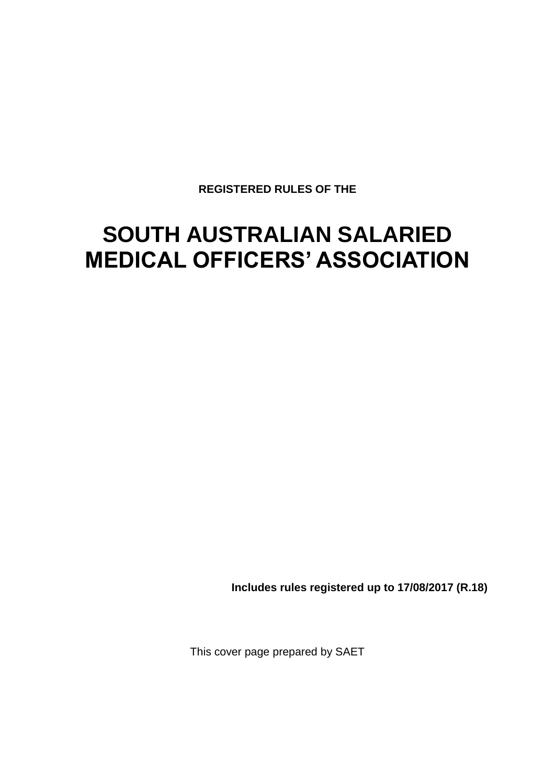**REGISTERED RULES OF THE**

# **SOUTH AUSTRALIAN SALARIED MEDICAL OFFICERS' ASSOCIATION**

**Includes rules registered up to 17/08/2017 (R.18)**

This cover page prepared by SAET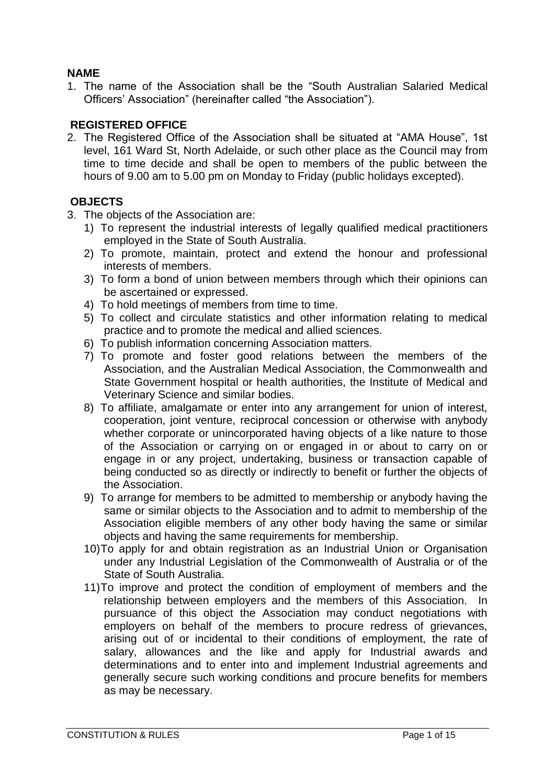## **NAME**

1. The name of the Association shall be the "South Australian Salaried Medical Officers' Association" (hereinafter called "the Association").

## **REGISTERED OFFICE**

2. The Registered Office of the Association shall be situated at "AMA House", 1st level, 161 Ward St, North Adelaide, or such other place as the Council may from time to time decide and shall be open to members of the public between the hours of 9.00 am to 5.00 pm on Monday to Friday (public holidays excepted).

## **OBJECTS**

- 3. The objects of the Association are:
	- 1) To represent the industrial interests of legally qualified medical practitioners employed in the State of South Australia.
	- 2) To promote, maintain, protect and extend the honour and professional interests of members.
	- 3) To form a bond of union between members through which their opinions can be ascertained or expressed.
	- 4) To hold meetings of members from time to time.
	- 5) To collect and circulate statistics and other information relating to medical practice and to promote the medical and allied sciences.
	- 6) To publish information concerning Association matters.
	- 7) To promote and foster good relations between the members of the Association, and the Australian Medical Association, the Commonwealth and State Government hospital or health authorities, the Institute of Medical and Veterinary Science and similar bodies.
	- 8) To affiliate, amalgamate or enter into any arrangement for union of interest, cooperation, joint venture, reciprocal concession or otherwise with anybody whether corporate or unincorporated having objects of a like nature to those of the Association or carrying on or engaged in or about to carry on or engage in or any project, undertaking, business or transaction capable of being conducted so as directly or indirectly to benefit or further the objects of the Association.
	- 9) To arrange for members to be admitted to membership or anybody having the same or similar objects to the Association and to admit to membership of the Association eligible members of any other body having the same or similar objects and having the same requirements for membership.
	- 10)To apply for and obtain registration as an Industrial Union or Organisation under any Industrial Legislation of the Commonwealth of Australia or of the State of South Australia.
	- 11)To improve and protect the condition of employment of members and the relationship between employers and the members of this Association. In pursuance of this object the Association may conduct negotiations with employers on behalf of the members to procure redress of grievances, arising out of or incidental to their conditions of employment, the rate of salary, allowances and the like and apply for Industrial awards and determinations and to enter into and implement Industrial agreements and generally secure such working conditions and procure benefits for members as may be necessary.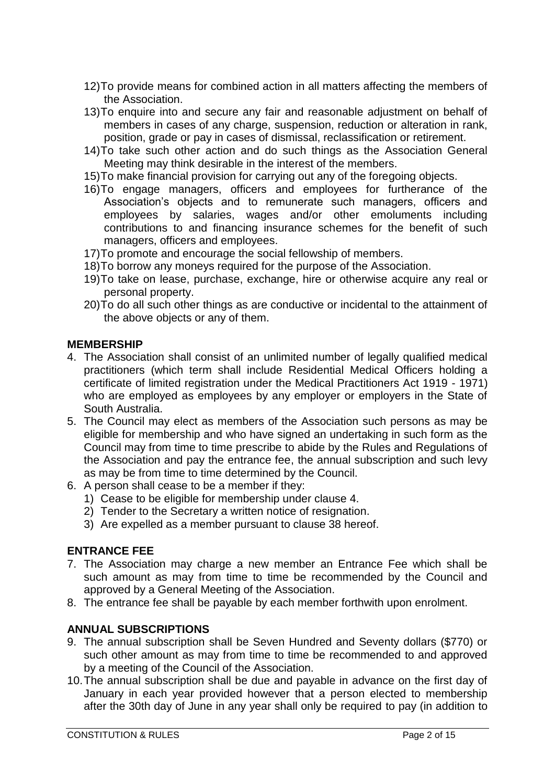- 12)To provide means for combined action in all matters affecting the members of the Association.
- 13)To enquire into and secure any fair and reasonable adjustment on behalf of members in cases of any charge, suspension, reduction or alteration in rank, position, grade or pay in cases of dismissal, reclassification or retirement.
- 14)To take such other action and do such things as the Association General Meeting may think desirable in the interest of the members.
- 15)To make financial provision for carrying out any of the foregoing objects.
- 16)To engage managers, officers and employees for furtherance of the Association's objects and to remunerate such managers, officers and employees by salaries, wages and/or other emoluments including contributions to and financing insurance schemes for the benefit of such managers, officers and employees.
- 17)To promote and encourage the social fellowship of members.
- 18)To borrow any moneys required for the purpose of the Association.
- 19)To take on lease, purchase, exchange, hire or otherwise acquire any real or personal property.
- 20)To do all such other things as are conductive or incidental to the attainment of the above objects or any of them.

#### **MEMBERSHIP**

- 4. The Association shall consist of an unlimited number of legally qualified medical practitioners (which term shall include Residential Medical Officers holding a certificate of limited registration under the Medical Practitioners Act 1919 - 1971) who are employed as employees by any employer or employers in the State of South Australia.
- 5. The Council may elect as members of the Association such persons as may be eligible for membership and who have signed an undertaking in such form as the Council may from time to time prescribe to abide by the Rules and Regulations of the Association and pay the entrance fee, the annual subscription and such levy as may be from time to time determined by the Council.
- 6. A person shall cease to be a member if they:
	- 1) Cease to be eligible for membership under clause 4.
	- 2) Tender to the Secretary a written notice of resignation.
	- 3) Are expelled as a member pursuant to clause 38 hereof.

## **ENTRANCE FEE**

- 7. The Association may charge a new member an Entrance Fee which shall be such amount as may from time to time be recommended by the Council and approved by a General Meeting of the Association.
- 8. The entrance fee shall be payable by each member forthwith upon enrolment.

## **ANNUAL SUBSCRIPTIONS**

- 9. The annual subscription shall be Seven Hundred and Seventy dollars (\$770) or such other amount as may from time to time be recommended to and approved by a meeting of the Council of the Association.
- 10.The annual subscription shall be due and payable in advance on the first day of January in each year provided however that a person elected to membership after the 30th day of June in any year shall only be required to pay (in addition to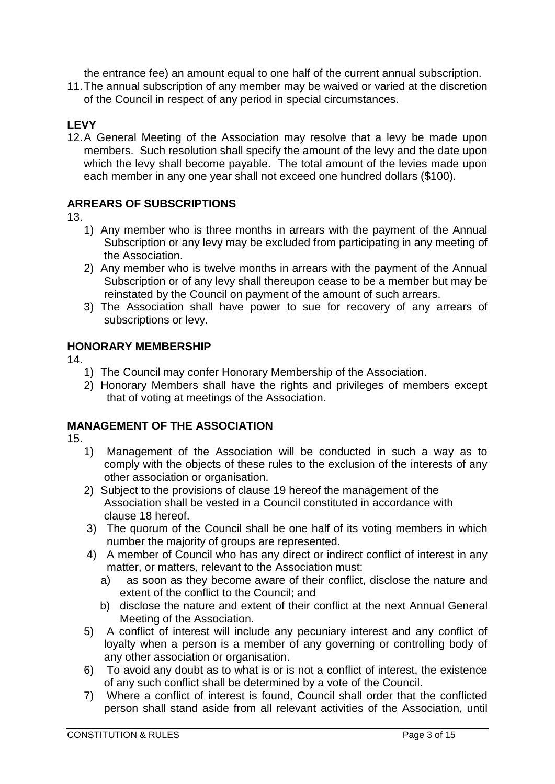the entrance fee) an amount equal to one half of the current annual subscription.

11.The annual subscription of any member may be waived or varied at the discretion of the Council in respect of any period in special circumstances.

# **LEVY**

12.A General Meeting of the Association may resolve that a levy be made upon members. Such resolution shall specify the amount of the levy and the date upon which the levy shall become payable. The total amount of the levies made upon each member in any one year shall not exceed one hundred dollars (\$100).

## **ARREARS OF SUBSCRIPTIONS**

13.

- 1) Any member who is three months in arrears with the payment of the Annual Subscription or any levy may be excluded from participating in any meeting of the Association.
- 2) Any member who is twelve months in arrears with the payment of the Annual Subscription or of any levy shall thereupon cease to be a member but may be reinstated by the Council on payment of the amount of such arrears.
- 3) The Association shall have power to sue for recovery of any arrears of subscriptions or levy.

## **HONORARY MEMBERSHIP**

14.

- 1) The Council may confer Honorary Membership of the Association.
- 2) Honorary Members shall have the rights and privileges of members except that of voting at meetings of the Association.

# **MANAGEMENT OF THE ASSOCIATION**

- 1) Management of the Association will be conducted in such a way as to comply with the objects of these rules to the exclusion of the interests of any other association or organisation.
- 2) Subject to the provisions of clause 19 hereof the management of the Association shall be vested in a Council constituted in accordance with clause 18 hereof.
- 3) The quorum of the Council shall be one half of its voting members in which number the majority of groups are represented.
- 4) A member of Council who has any direct or indirect conflict of interest in any matter, or matters, relevant to the Association must:
	- a) as soon as they become aware of their conflict, disclose the nature and extent of the conflict to the Council; and
	- b) disclose the nature and extent of their conflict at the next Annual General Meeting of the Association.
- 5) A conflict of interest will include any pecuniary interest and any conflict of loyalty when a person is a member of any governing or controlling body of any other association or organisation.
- 6) To avoid any doubt as to what is or is not a conflict of interest, the existence of any such conflict shall be determined by a vote of the Council.
- 7) Where a conflict of interest is found, Council shall order that the conflicted person shall stand aside from all relevant activities of the Association, until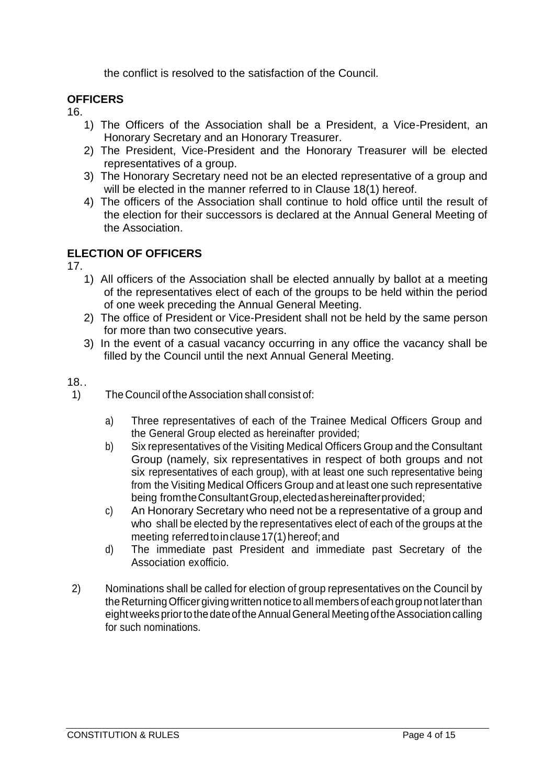the conflict is resolved to the satisfaction of the Council.

## **OFFICERS**

16.

- 1) The Officers of the Association shall be a President, a Vice-President, an Honorary Secretary and an Honorary Treasurer.
- 2) The President, Vice-President and the Honorary Treasurer will be elected representatives of a group.
- 3) The Honorary Secretary need not be an elected representative of a group and will be elected in the manner referred to in Clause 18(1) hereof.
- 4) The officers of the Association shall continue to hold office until the result of the election for their successors is declared at the Annual General Meeting of the Association.

# **ELECTION OF OFFICERS**

17.

- 1) All officers of the Association shall be elected annually by ballot at a meeting of the representatives elect of each of the groups to be held within the period of one week preceding the Annual General Meeting.
- 2) The office of President or Vice-President shall not be held by the same person for more than two consecutive years.
- 3) In the event of a casual vacancy occurring in any office the vacancy shall be filled by the Council until the next Annual General Meeting.

## 18..

- 1) The Council of the Association shall consist of:
	- a) Three representatives of each of the Trainee Medical Officers Group and the General Group elected as hereinafter provided;
	- b) Six representatives of the Visiting Medical Officers Group and the Consultant Group (namely, six representatives in respect of both groups and not six representatives of each group), with at least one such representative being from the Visiting Medical Officers Group and at least one such representative being fromtheConsultantGroup,electedashereinafterprovided;
	- c) An Honorary Secretary who need not be a representative of a group and who shall be elected by the representatives elect of each of the groups at the meeting referred to inclause 17(1) hereof; and
	- d) The immediate past President and immediate past Secretary of the Association exofficio.
- 2) Nominations shall be called for election of group representatives on the Council by the Returning Officer giving written notice to all members of each group not later than eight weeks prior to the date of the Annual General Meeting of the Association calling for such nominations.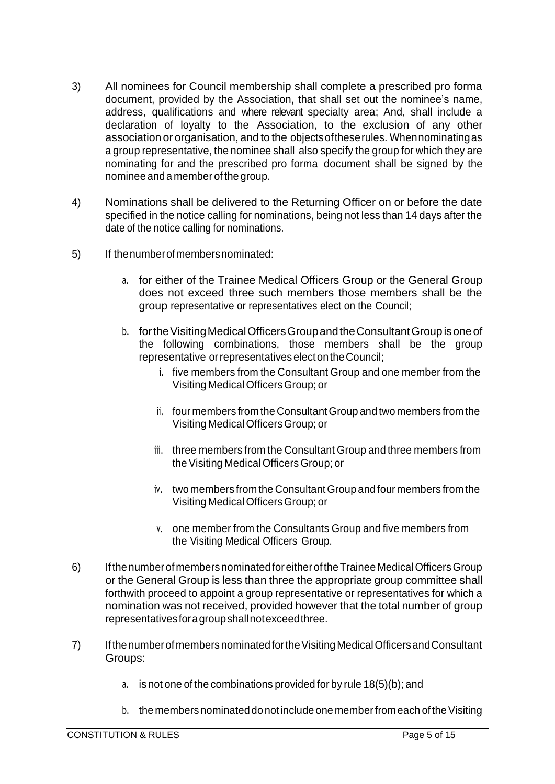- 3) All nominees for Council membership shall complete a prescribed pro forma document, provided by the Association, that shall set out the nominee's name, address, qualifications and where relevant specialty area; And, shall include a declaration of loyalty to the Association, to the exclusion of any other association or organisation, and to the objectsoftheserules. Whennominatingas a group representative, the nominee shall also specify the group for which they are nominating for and the prescribed pro forma document shall be signed by the nominee anda member of the group.
- 4) Nominations shall be delivered to the Returning Officer on or before the date specified in the notice calling for nominations, being not less than 14 days after the date of the notice calling for nominations.
- 5) If thenumberofmembersnominated:
	- a. for either of the Trainee Medical Officers Group or the General Group does not exceed three such members those members shall be the group representative or representatives elect on the Council;
	- b. for the Visiting Medical Officers Group and the Consultant Group is one of the following combinations, those members shall be the group representative or representatives elect on the Council;
		- i. five members from the Consultant Group and one member from the Visiting MedicalOfficersGroup; or
		- ii. four members from the ConsultantGroup and two members from the Visiting Medical OfficersGroup; or
		- iii. three members from the Consultant Group and three members from the Visiting Medical Officers Group; or
		- iv. two members from the ConsultantGroup and four members from the Visiting Medical OfficersGroup; or
		- v. one member from the Consultants Group and five members from the Visiting Medical Officers Group.
- 6) IfthenumberofmembersnominatedforeitheroftheTrainee MedicalOfficersGroup or the General Group is less than three the appropriate group committee shall forthwith proceed to appoint a group representative or representatives for which a nomination was not received, provided however that the total number of group representativesforagroupshallnotexceedthree.
- 7) IfthenumberofmembersnominatedfortheVisitingMedicalOfficersandConsultant Groups:
	- a. is not one of the combinations provided for by rule 18(5)(b); and
	- b. the members nominated do not include one member from each of the Visiting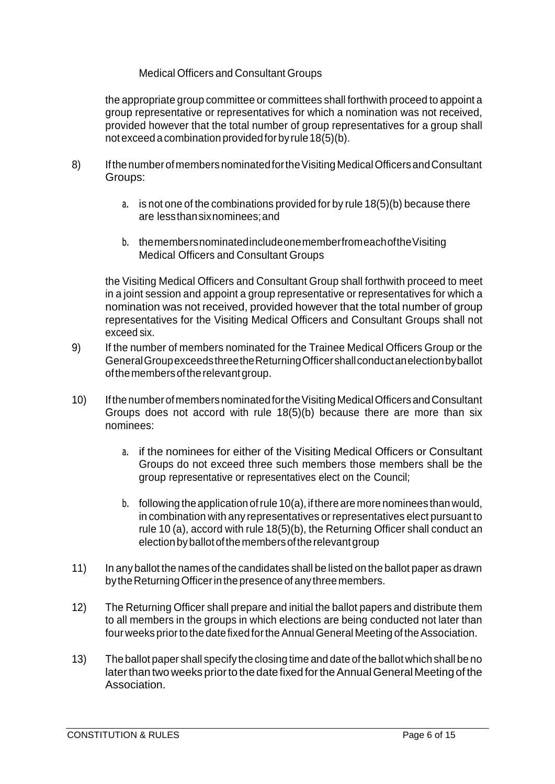## Medical Officers and Consultant Groups

the appropriate group committee or committees shall forthwith proceed to appoint a group representative or representatives for which a nomination was not received, provided however that the total number of group representatives for a group shall notexceed acombination providedfor byrule18(5)(b).

- 8) IfthenumberofmembersnominatedfortheVisitingMedicalOfficersandConsultant Groups:
	- a. is not one of the combinations provided for by rule 18(5)(b) because there are lessthansixnominees;and
	- b. themembersnominatedincludeonememberfromeachoftheVisiting Medical Officers and Consultant Groups

the Visiting Medical Officers and Consultant Group shall forthwith proceed to meet in a joint session and appoint a group representative or representatives for which a nomination was not received, provided however that the total number of group representatives for the Visiting Medical Officers and Consultant Groups shall not exceed six.

- 9) If the number of members nominated for the Trainee Medical Officers Group or the GeneralGroupexceedsthreetheReturningOfficershallconductanelectionbyballot of the members of the relevant group.
- 10) If the number of members nominated for the Visiting Medical Officers and Consultant Groups does not accord with rule 18(5)(b) because there are more than six nominees:
	- a. if the nominees for either of the Visiting Medical Officers or Consultant Groups do not exceed three such members those members shall be the group representative or representatives elect on the Council;
	- b. following the application of rule  $10(a)$ , if there are more nominees than would, in combination with any representatives orrepresentatives elect pursuant to rule 10 (a), accord with rule 18(5)(b), the Returning Officer shall conduct an election by ballot of the members of the relevant group
- 11) In any ballot the names of the candidates shall be listed on the ballot paper as drawn by the Returning Officer in the presence of any three members.
- 12) The Returning Officer shall prepare and initial the ballot papers and distribute them to all members in the groups in which elections are being conducted not later than four weeks prior to the date fixed for the Annual General Meeting of the Association.
- 13) The ballot paper shall specify the closing time and date of the ballot which shall be no later than two weeks prior to the date fixed for the Annual General Meeting of the Association.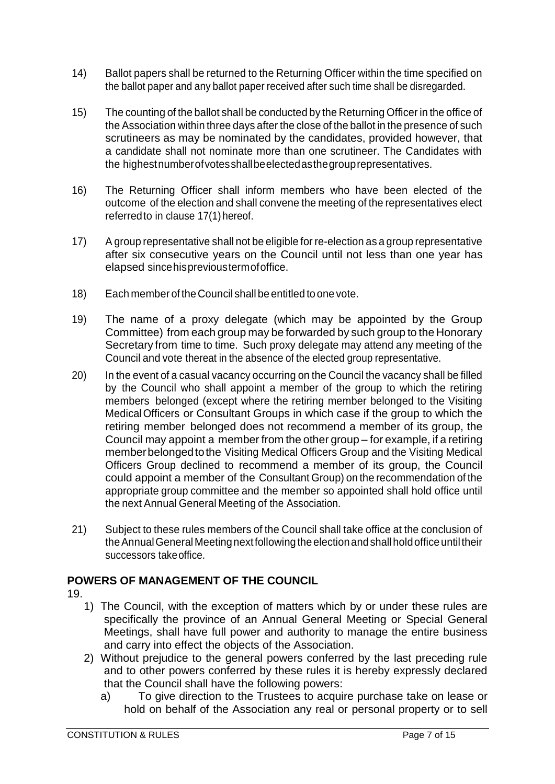- 14) Ballot papers shall be returned to the Returning Officer within the time specified on the ballot paper and any ballot paper received after such time shall be disregarded.
- 15) The counting of the ballot shall be conducted by the Returning Officer in the office of the Association within three days after the close of the ballot in the presence of such scrutineers as may be nominated by the candidates, provided however, that a candidate shall not nominate more than one scrutineer. The Candidates with the highestnumberofvotesshallbeelectedasthegrouprepresentatives.
- 16) The Returning Officer shall inform members who have been elected of the outcome of the election and shall convene the meeting of the representatives elect referredto in clause 17(1) hereof.
- 17) A group representative shall not be eligible for re-election as a group representative after six consecutive years on the Council until not less than one year has elapsed sincehisprevioustermofoffice.
- 18) Each member of the Council shall be entitled to one vote.
- 19) The name of a proxy delegate (which may be appointed by the Group Committee) from each group may be forwarded by such group to the Honorary Secretary from time to time. Such proxy delegate may attend any meeting of the Council and vote thereat in the absence of the elected group representative.
- 20) In the event of a casual vacancy occurring on the Council the vacancy shall be filled by the Council who shall appoint a member of the group to which the retiring members belonged (except where the retiring member belonged to the Visiting MedicalOfficers or Consultant Groups in which case if the group to which the retiring member belonged does not recommend a member of its group, the Council may appoint a member from the other group – for example, if a retiring member belonged to the Visiting Medical Officers Group and the Visiting Medical Officers Group declined to recommend a member of its group, the Council could appoint a member of the Consultant Group) on the recommendation of the appropriate group committee and the member so appointed shall hold office until the next Annual General Meeting of the Association.
- 21) Subject to these rules members of the Council shall take office at the conclusion of the Annual General Meeting nextfollowing the election and shall hold office until their successors takeoffice.

## **POWERS OF MANAGEMENT OF THE COUNCIL**

- 19.
	- 1) The Council, with the exception of matters which by or under these rules are specifically the province of an Annual General Meeting or Special General Meetings, shall have full power and authority to manage the entire business and carry into effect the objects of the Association.
	- 2) Without prejudice to the general powers conferred by the last preceding rule and to other powers conferred by these rules it is hereby expressly declared that the Council shall have the following powers:
		- a) To give direction to the Trustees to acquire purchase take on lease or hold on behalf of the Association any real or personal property or to sell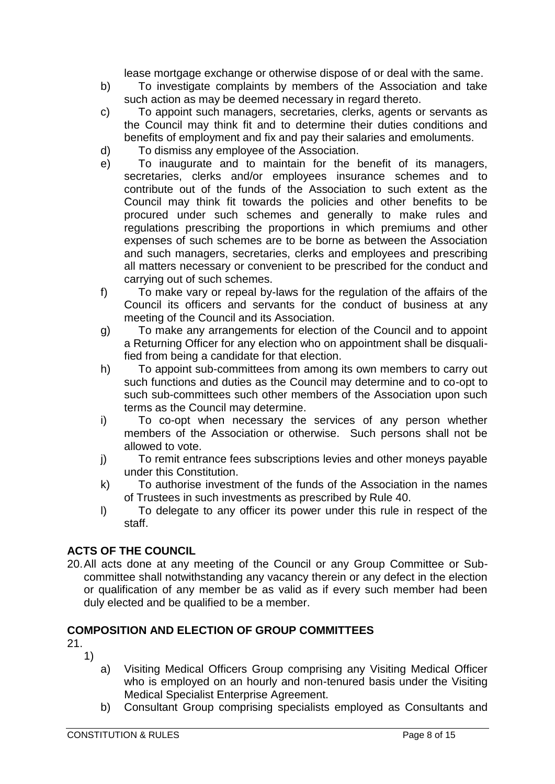lease mortgage exchange or otherwise dispose of or deal with the same.

- b) To investigate complaints by members of the Association and take such action as may be deemed necessary in regard thereto.
- c) To appoint such managers, secretaries, clerks, agents or servants as the Council may think fit and to determine their duties conditions and benefits of employment and fix and pay their salaries and emoluments.
- d) To dismiss any employee of the Association.
- e) To inaugurate and to maintain for the benefit of its managers, secretaries, clerks and/or employees insurance schemes and to contribute out of the funds of the Association to such extent as the Council may think fit towards the policies and other benefits to be procured under such schemes and generally to make rules and regulations prescribing the proportions in which premiums and other expenses of such schemes are to be borne as between the Association and such managers, secretaries, clerks and employees and prescribing all matters necessary or convenient to be prescribed for the conduct and carrying out of such schemes.
- f) To make vary or repeal by-laws for the regulation of the affairs of the Council its officers and servants for the conduct of business at any meeting of the Council and its Association.
- g) To make any arrangements for election of the Council and to appoint a Returning Officer for any election who on appointment shall be disqualified from being a candidate for that election.
- h) To appoint sub-committees from among its own members to carry out such functions and duties as the Council may determine and to co-opt to such sub-committees such other members of the Association upon such terms as the Council may determine.
- i) To co-opt when necessary the services of any person whether members of the Association or otherwise. Such persons shall not be allowed to vote.
- j) To remit entrance fees subscriptions levies and other moneys payable under this Constitution.
- k) To authorise investment of the funds of the Association in the names of Trustees in such investments as prescribed by Rule 40.
- l) To delegate to any officer its power under this rule in respect of the staff.

# **ACTS OF THE COUNCIL**

20.All acts done at any meeting of the Council or any Group Committee or Subcommittee shall notwithstanding any vacancy therein or any defect in the election or qualification of any member be as valid as if every such member had been duly elected and be qualified to be a member.

## **COMPOSITION AND ELECTION OF GROUP COMMITTEES**

- 1)
	- a) Visiting Medical Officers Group comprising any Visiting Medical Officer who is employed on an hourly and non-tenured basis under the Visiting Medical Specialist Enterprise Agreement.
	- b) Consultant Group comprising specialists employed as Consultants and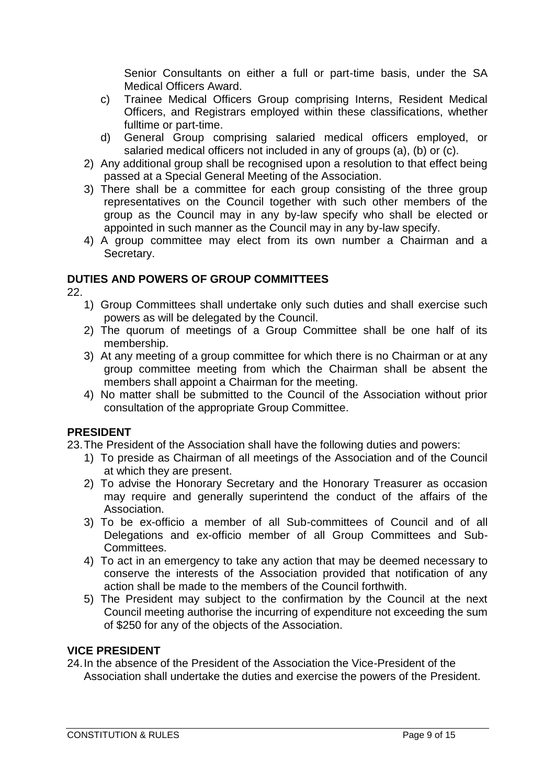Senior Consultants on either a full or part-time basis, under the SA Medical Officers Award.

- c) Trainee Medical Officers Group comprising Interns, Resident Medical Officers, and Registrars employed within these classifications, whether fulltime or part-time.
- d) General Group comprising salaried medical officers employed, or salaried medical officers not included in any of groups (a), (b) or (c).
- 2) Any additional group shall be recognised upon a resolution to that effect being passed at a Special General Meeting of the Association.
- 3) There shall be a committee for each group consisting of the three group representatives on the Council together with such other members of the group as the Council may in any by-law specify who shall be elected or appointed in such manner as the Council may in any by-law specify.
- 4) A group committee may elect from its own number a Chairman and a Secretary.

## **DUTIES AND POWERS OF GROUP COMMITTEES**

22.

- 1) Group Committees shall undertake only such duties and shall exercise such powers as will be delegated by the Council.
- 2) The quorum of meetings of a Group Committee shall be one half of its membership.
- 3) At any meeting of a group committee for which there is no Chairman or at any group committee meeting from which the Chairman shall be absent the members shall appoint a Chairman for the meeting.
- 4) No matter shall be submitted to the Council of the Association without prior consultation of the appropriate Group Committee.

## **PRESIDENT**

23.The President of the Association shall have the following duties and powers:

- 1) To preside as Chairman of all meetings of the Association and of the Council at which they are present.
- 2) To advise the Honorary Secretary and the Honorary Treasurer as occasion may require and generally superintend the conduct of the affairs of the Association.
- 3) To be ex-officio a member of all Sub-committees of Council and of all Delegations and ex-officio member of all Group Committees and Sub-Committees.
- 4) To act in an emergency to take any action that may be deemed necessary to conserve the interests of the Association provided that notification of any action shall be made to the members of the Council forthwith.
- 5) The President may subject to the confirmation by the Council at the next Council meeting authorise the incurring of expenditure not exceeding the sum of \$250 for any of the objects of the Association.

## **VICE PRESIDENT**

24.In the absence of the President of the Association the Vice-President of the Association shall undertake the duties and exercise the powers of the President.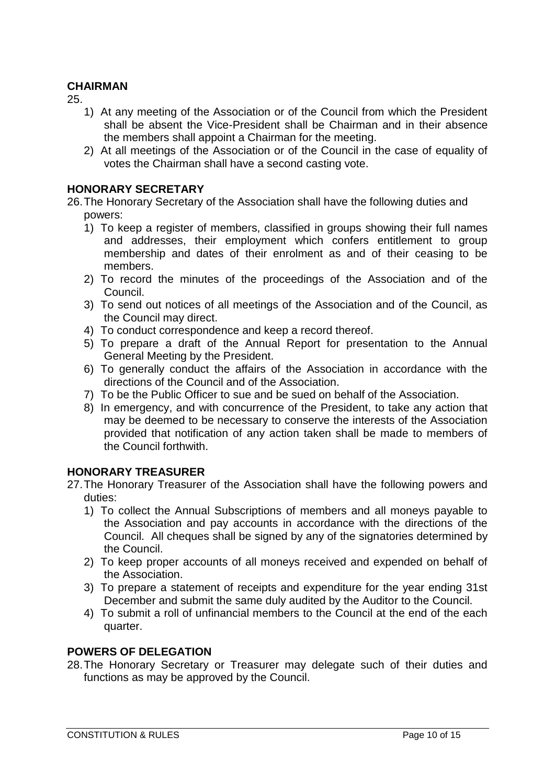## **CHAIRMAN**

25.

- 1) At any meeting of the Association or of the Council from which the President shall be absent the Vice-President shall be Chairman and in their absence the members shall appoint a Chairman for the meeting.
- 2) At all meetings of the Association or of the Council in the case of equality of votes the Chairman shall have a second casting vote.

### **HONORARY SECRETARY**

26.The Honorary Secretary of the Association shall have the following duties and powers:

- 1) To keep a register of members, classified in groups showing their full names and addresses, their employment which confers entitlement to group membership and dates of their enrolment as and of their ceasing to be members.
- 2) To record the minutes of the proceedings of the Association and of the Council.
- 3) To send out notices of all meetings of the Association and of the Council, as the Council may direct.
- 4) To conduct correspondence and keep a record thereof.
- 5) To prepare a draft of the Annual Report for presentation to the Annual General Meeting by the President.
- 6) To generally conduct the affairs of the Association in accordance with the directions of the Council and of the Association.
- 7) To be the Public Officer to sue and be sued on behalf of the Association.
- 8) In emergency, and with concurrence of the President, to take any action that may be deemed to be necessary to conserve the interests of the Association provided that notification of any action taken shall be made to members of the Council forthwith.

#### **HONORARY TREASURER**

- 27.The Honorary Treasurer of the Association shall have the following powers and duties:
	- 1) To collect the Annual Subscriptions of members and all moneys payable to the Association and pay accounts in accordance with the directions of the Council. All cheques shall be signed by any of the signatories determined by the Council.
	- 2) To keep proper accounts of all moneys received and expended on behalf of the Association.
	- 3) To prepare a statement of receipts and expenditure for the year ending 31st December and submit the same duly audited by the Auditor to the Council.
	- 4) To submit a roll of unfinancial members to the Council at the end of the each quarter.

#### **POWERS OF DELEGATION**

28.The Honorary Secretary or Treasurer may delegate such of their duties and functions as may be approved by the Council.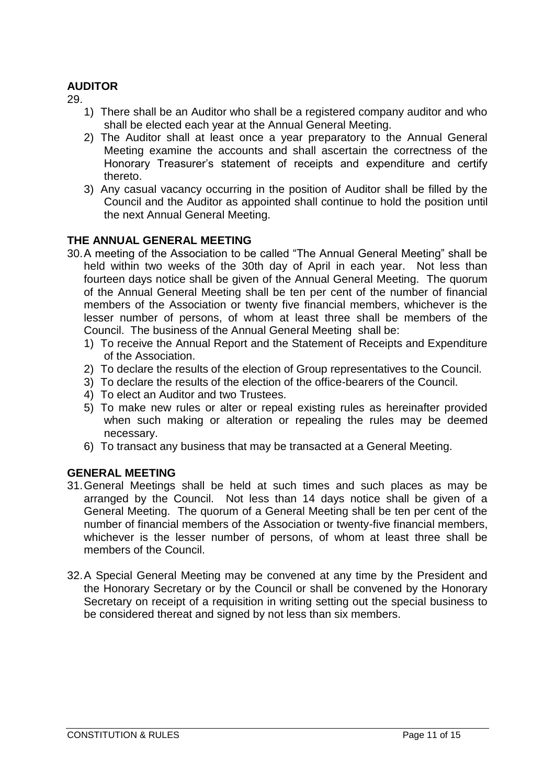## **AUDITOR**

29.

- 1) There shall be an Auditor who shall be a registered company auditor and who shall be elected each year at the Annual General Meeting.
- 2) The Auditor shall at least once a year preparatory to the Annual General Meeting examine the accounts and shall ascertain the correctness of the Honorary Treasurer's statement of receipts and expenditure and certify thereto.
- 3) Any casual vacancy occurring in the position of Auditor shall be filled by the Council and the Auditor as appointed shall continue to hold the position until the next Annual General Meeting.

## **THE ANNUAL GENERAL MEETING**

- 30.A meeting of the Association to be called "The Annual General Meeting" shall be held within two weeks of the 30th day of April in each year. Not less than fourteen days notice shall be given of the Annual General Meeting. The quorum of the Annual General Meeting shall be ten per cent of the number of financial members of the Association or twenty five financial members, whichever is the lesser number of persons, of whom at least three shall be members of the Council. The business of the Annual General Meeting shall be:
	- 1) To receive the Annual Report and the Statement of Receipts and Expenditure of the Association.
	- 2) To declare the results of the election of Group representatives to the Council.
	- 3) To declare the results of the election of the office-bearers of the Council.
	- 4) To elect an Auditor and two Trustees.
	- 5) To make new rules or alter or repeal existing rules as hereinafter provided when such making or alteration or repealing the rules may be deemed necessary.
	- 6) To transact any business that may be transacted at a General Meeting.

#### **GENERAL MEETING**

- 31.General Meetings shall be held at such times and such places as may be arranged by the Council. Not less than 14 days notice shall be given of a General Meeting. The quorum of a General Meeting shall be ten per cent of the number of financial members of the Association or twenty-five financial members, whichever is the lesser number of persons, of whom at least three shall be members of the Council.
- 32.A Special General Meeting may be convened at any time by the President and the Honorary Secretary or by the Council or shall be convened by the Honorary Secretary on receipt of a requisition in writing setting out the special business to be considered thereat and signed by not less than six members.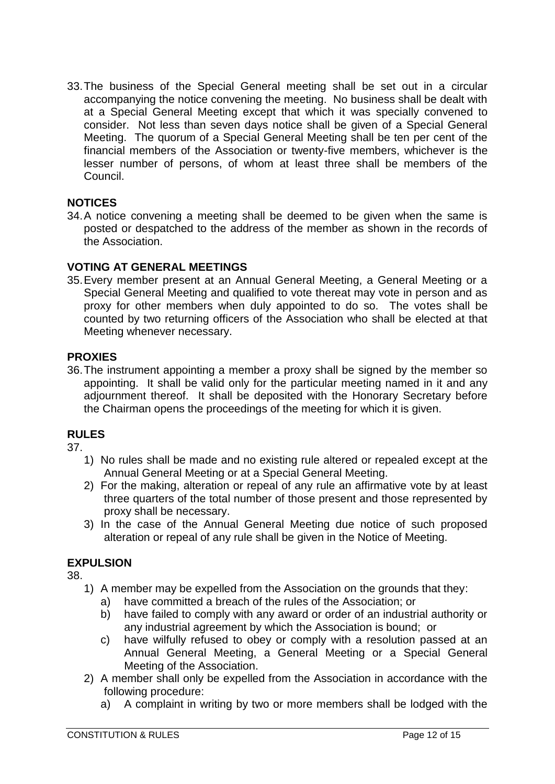33.The business of the Special General meeting shall be set out in a circular accompanying the notice convening the meeting. No business shall be dealt with at a Special General Meeting except that which it was specially convened to consider. Not less than seven days notice shall be given of a Special General Meeting. The quorum of a Special General Meeting shall be ten per cent of the financial members of the Association or twenty-five members, whichever is the lesser number of persons, of whom at least three shall be members of the Council.

## **NOTICES**

34.A notice convening a meeting shall be deemed to be given when the same is posted or despatched to the address of the member as shown in the records of the Association.

## **VOTING AT GENERAL MEETINGS**

35.Every member present at an Annual General Meeting, a General Meeting or a Special General Meeting and qualified to vote thereat may vote in person and as proxy for other members when duly appointed to do so. The votes shall be counted by two returning officers of the Association who shall be elected at that Meeting whenever necessary.

## **PROXIES**

36.The instrument appointing a member a proxy shall be signed by the member so appointing. It shall be valid only for the particular meeting named in it and any adjournment thereof. It shall be deposited with the Honorary Secretary before the Chairman opens the proceedings of the meeting for which it is given.

## **RULES**

37.

- 1) No rules shall be made and no existing rule altered or repealed except at the Annual General Meeting or at a Special General Meeting.
- 2) For the making, alteration or repeal of any rule an affirmative vote by at least three quarters of the total number of those present and those represented by proxy shall be necessary.
- 3) In the case of the Annual General Meeting due notice of such proposed alteration or repeal of any rule shall be given in the Notice of Meeting.

## **EXPULSION**

- 1) A member may be expelled from the Association on the grounds that they:
	- a) have committed a breach of the rules of the Association; or
	- b) have failed to comply with any award or order of an industrial authority or any industrial agreement by which the Association is bound; or
	- c) have wilfully refused to obey or comply with a resolution passed at an Annual General Meeting, a General Meeting or a Special General Meeting of the Association.
- 2) A member shall only be expelled from the Association in accordance with the following procedure:
	- a) A complaint in writing by two or more members shall be lodged with the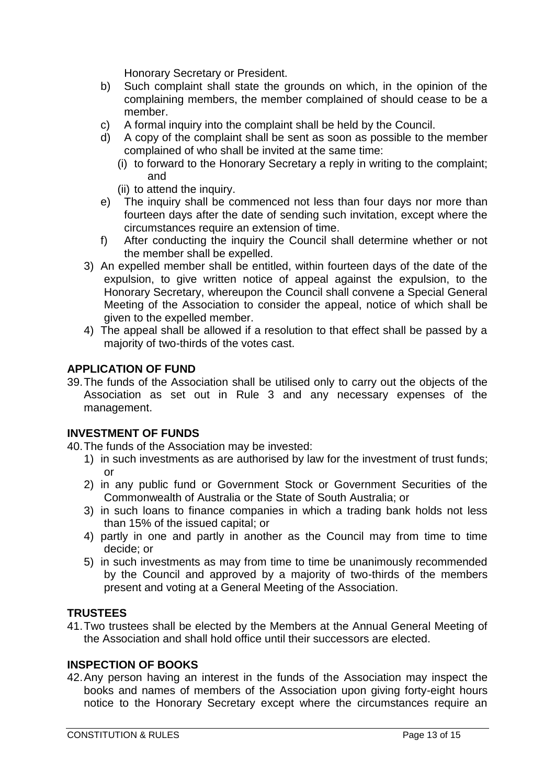Honorary Secretary or President.

- b) Such complaint shall state the grounds on which, in the opinion of the complaining members, the member complained of should cease to be a member.
- c) A formal inquiry into the complaint shall be held by the Council.
- d) A copy of the complaint shall be sent as soon as possible to the member complained of who shall be invited at the same time:
	- (i) to forward to the Honorary Secretary a reply in writing to the complaint; and
	- (ii) to attend the inquiry.
- e) The inquiry shall be commenced not less than four days nor more than fourteen days after the date of sending such invitation, except where the circumstances require an extension of time.
- f) After conducting the inquiry the Council shall determine whether or not the member shall be expelled.
- 3) An expelled member shall be entitled, within fourteen days of the date of the expulsion, to give written notice of appeal against the expulsion, to the Honorary Secretary, whereupon the Council shall convene a Special General Meeting of the Association to consider the appeal, notice of which shall be given to the expelled member.
- 4) The appeal shall be allowed if a resolution to that effect shall be passed by a majority of two-thirds of the votes cast.

## **APPLICATION OF FUND**

39.The funds of the Association shall be utilised only to carry out the objects of the Association as set out in Rule 3 and any necessary expenses of the management.

## **INVESTMENT OF FUNDS**

40.The funds of the Association may be invested:

- 1) in such investments as are authorised by law for the investment of trust funds; or
- 2) in any public fund or Government Stock or Government Securities of the Commonwealth of Australia or the State of South Australia; or
- 3) in such loans to finance companies in which a trading bank holds not less than 15% of the issued capital; or
- 4) partly in one and partly in another as the Council may from time to time decide; or
- 5) in such investments as may from time to time be unanimously recommended by the Council and approved by a majority of two-thirds of the members present and voting at a General Meeting of the Association.

## **TRUSTEES**

41.Two trustees shall be elected by the Members at the Annual General Meeting of the Association and shall hold office until their successors are elected.

## **INSPECTION OF BOOKS**

42.Any person having an interest in the funds of the Association may inspect the books and names of members of the Association upon giving forty-eight hours notice to the Honorary Secretary except where the circumstances require an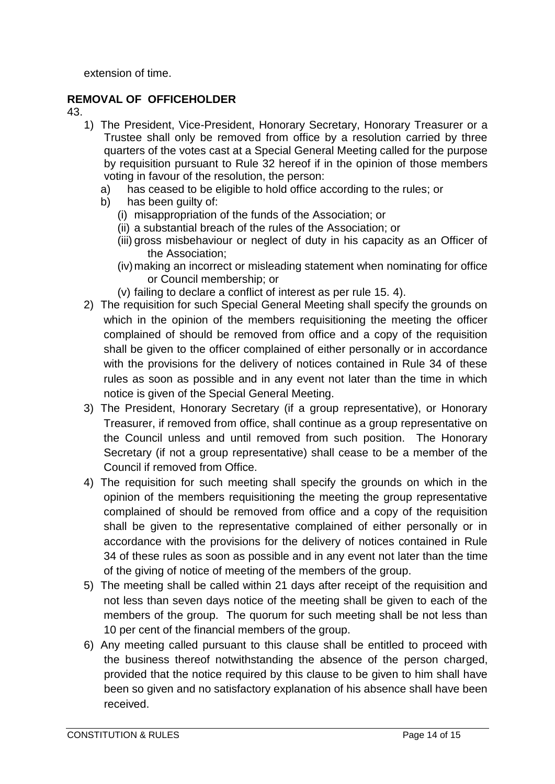extension of time.

## **REMOVAL OF OFFICEHOLDER**

- 1) The President, Vice-President, Honorary Secretary, Honorary Treasurer or a Trustee shall only be removed from office by a resolution carried by three quarters of the votes cast at a Special General Meeting called for the purpose by requisition pursuant to Rule 32 hereof if in the opinion of those members voting in favour of the resolution, the person:
	- a) has ceased to be eligible to hold office according to the rules; or
	- b) has been guilty of:
		- (i) misappropriation of the funds of the Association; or
		- (ii) a substantial breach of the rules of the Association; or
		- (iii) gross misbehaviour or neglect of duty in his capacity as an Officer of the Association;
		- (iv)making an incorrect or misleading statement when nominating for office or Council membership; or
		- (v) failing to declare a conflict of interest as per rule 15. 4).
- 2) The requisition for such Special General Meeting shall specify the grounds on which in the opinion of the members requisitioning the meeting the officer complained of should be removed from office and a copy of the requisition shall be given to the officer complained of either personally or in accordance with the provisions for the delivery of notices contained in Rule 34 of these rules as soon as possible and in any event not later than the time in which notice is given of the Special General Meeting.
- 3) The President, Honorary Secretary (if a group representative), or Honorary Treasurer, if removed from office, shall continue as a group representative on the Council unless and until removed from such position. The Honorary Secretary (if not a group representative) shall cease to be a member of the Council if removed from Office.
- 4) The requisition for such meeting shall specify the grounds on which in the opinion of the members requisitioning the meeting the group representative complained of should be removed from office and a copy of the requisition shall be given to the representative complained of either personally or in accordance with the provisions for the delivery of notices contained in Rule 34 of these rules as soon as possible and in any event not later than the time of the giving of notice of meeting of the members of the group.
- 5) The meeting shall be called within 21 days after receipt of the requisition and not less than seven days notice of the meeting shall be given to each of the members of the group. The quorum for such meeting shall be not less than 10 per cent of the financial members of the group.
- 6) Any meeting called pursuant to this clause shall be entitled to proceed with the business thereof notwithstanding the absence of the person charged, provided that the notice required by this clause to be given to him shall have been so given and no satisfactory explanation of his absence shall have been received.